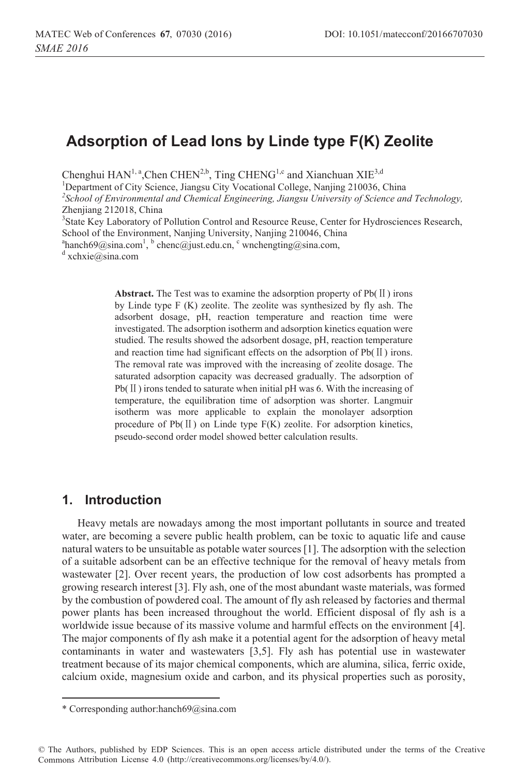# **Adsorption of Lead Ions by Linde type F(K) Zeolite**

Chenghui  $HAN<sup>1, a</sup>$ , Chen CHEN<sup>2,b</sup>, Ting CHENG<sup>1,c</sup> and Xianchuan XIE<sup>3,d</sup>

<sup>1</sup>Department of City Science, Jiangsu City Vocational College, Nanjing 210036, China <sup>2</sup>School of Environmental and Chamical Engineering, Jiangsu University of Science and *School of Environmental and Chemical Engineering, Jiangsu University of Science and Technology,* Zhenjiang 212018, China <sup>3</sup>State Key Laboratory of Pollution Control and Resource Reuse, Center for Hydrosciences Research,

School of the Environment, Nanjing University, Nanjing 210046, China

<sup>a</sup>hanch69@sina.com<sup>1</sup>, <sup>b</sup> chenc@just.edu.cn, <sup>c</sup> wnchengting@sina.com, d vehyio@sina.com,

 $d$  xchxie@sina.com

**Abstract.** The Test was to examine the adsorption property of  $Pb(II)$  irons by Linde type F (K) zeolite. The zeolite was synthesized by fly ash. The adsorbent dosage, pH, reaction temperature and reaction time were investigated. The adsorption isotherm and adsorption kinetics equation were studied. The results showed the adsorbent dosage, pH, reaction temperature and reaction time had significant effects on the adsorption of  $Pb(II)$  irons. The removal rate was improved with the increasing of zeolite dosage. The saturated adsorption capacity was decreased gradually. The adsorption of  $Pb(II)$  irons tended to saturate when initial pH was 6. With the increasing of temperature, the equilibration time of adsorption was shorter. Langmuir isotherm was more applicable to explain the monolayer adsorption procedure of  $Pb(\Pi)$  on Linde type  $F(K)$  zeolite. For adsorption kinetics, pseudo-second order model showed better calculation results.

## **1. Introduction**

 $\overline{a}$ 

Heavy metals are nowadays among the most important pollutants in source and treated water, are becoming a severe public health problem, can be toxic to aquatic life and cause natural waters to be unsuitable as potable water sources [1]. The adsorption with the selection of a suitable adsorbent can be an effective technique for the removal of heavy metals from wastewater [2]. Over recent years, the production of low cost adsorbents has prompted a growing research interest [3]. Fly ash, one of the most abundant waste materials, was formed by the combustion of powdered coal. The amount of fly ash released by factories and thermal power plants has been increased throughout the world. Efficient disposal of fly ash is a worldwide issue because of its massive volume and harmful effects on the environment [4]. The major components of fly ash make it a potential agent for the adsorption of heavy metal contaminants in water and wastewaters [3,5]. Fly ash has potential use in wastewater treatment because of its major chemical components, which are alumina, silica, ferric oxide, calcium oxide, magnesium oxide and carbon, and its physical properties such as porosity,

<sup>\*</sup> Corresponding author:hanch69@sina.com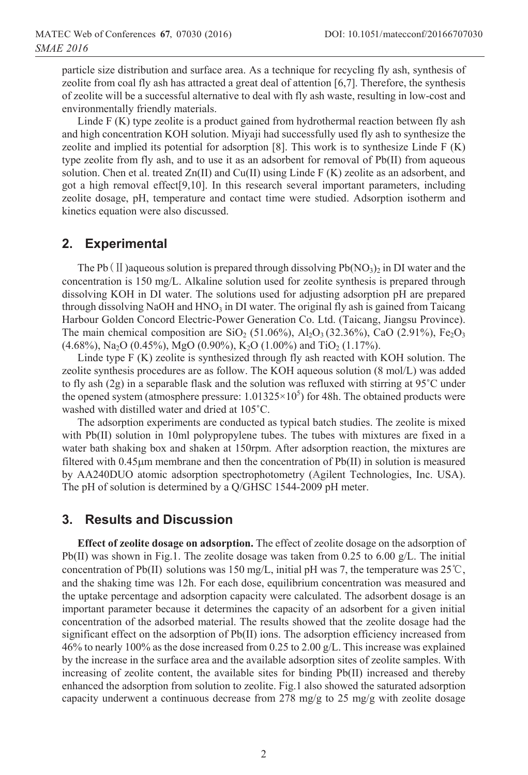particle size distribution and surface area. As a technique for recycling fly ash, synthesis of zeolite from coal fly ash has attracted a great deal of attention [6,7]. Therefore, the synthesis of zeolite will be a successful alternative to deal with fly ash waste, resulting in low-cost and environmentally friendly materials.

Linde F (K) type zeolite is a product gained from hydrothermal reaction between fly ash and high concentration KOH solution. Miyaji had successfully used fly ash to synthesize the zeolite and implied its potential for adsorption  $[8]$ . This work is to synthesize Linde F  $(K)$ type zeolite from fly ash, and to use it as an adsorbent for removal of Pb(II) from aqueous solution. Chen et al. treated  $Zn(II)$  and  $Cu(II)$  using Linde F (K) zeolite as an adsorbent, and got a high removal effect[9,10]. In this research several important parameters, including zeolite dosage, pH, temperature and contact time were studied. Adsorption isotherm and kinetics equation were also discussed.

## **2. Experimental**

The Pb(II) aqueous solution is prepared through dissolving Pb( $NO<sub>3</sub>$ )<sub>2</sub> in DI water and the concentration is 150 mg/L. Alkaline solution used for zeolite synthesis is prepared through dissolving KOH in DI water. The solutions used for adjusting adsorption pH are prepared through dissolving NaOH and  $HNO<sub>3</sub>$  in DI water. The original fly ash is gained from Taicang Harbour Golden Concord Electric-Power Generation Co. Ltd. (Taicang, Jiangsu Province). The main chemical composition are SiO<sub>2</sub> (51.06%), Al<sub>2</sub>O<sub>3</sub> (32.36%), CaO (2.91%), Fe<sub>2</sub>O<sub>3</sub>  $(4.68\%)$ , Na<sub>2</sub>O (0.45%), MgO (0.90%), K<sub>2</sub>O (1.00%) and TiO<sub>2</sub> (1.17%).

Linde type F (K) zeolite is synthesized through fly ash reacted with KOH solution. The zeolite synthesis procedures are as follow. The KOH aqueous solution (8 mol/L) was added to fly ash (2g) in a separable flask and the solution was refluxed with stirring at 95**˚**C under the opened system (atmosphere pressure:  $1.01325 \times 10^5$ ) for 48h. The obtained products were washed with distilled water and dried at 105**˚**C.

The adsorption experiments are conducted as typical batch studies. The zeolite is mixed with Pb(II) solution in 10ml polypropylene tubes. The tubes with mixtures are fixed in a water bath shaking box and shaken at 150rpm. After adsorption reaction, the mixtures are filtered with  $0.45 \mu m$  membrane and then the concentration of Pb(II) in solution is measured by AA240DUO atomic adsorption spectrophotometry (Agilent Technologies, Inc. USA). The pH of solution is determined by a Q/GHSC 1544-2009 pH meter.

## **3. Results and Discussion**

**Effect of zeolite dosage on adsorption.** The effect of zeolite dosage on the adsorption of Pb(II) was shown in Fig.1. The zeolite dosage was taken from  $0.25$  to  $6.00$  g/L. The initial concentration of Pb(II) solutions was 150 mg/L, initial pH was 7, the temperature was  $25^{\circ}\text{C}$ , and the shaking time was 12h. For each dose, equilibrium concentration was measured and the uptake percentage and adsorption capacity were calculated. The adsorbent dosage is an important parameter because it determines the capacity of an adsorbent for a given initial concentration of the adsorbed material. The results showed that the zeolite dosage had the significant effect on the adsorption of Pb(II) ions. The adsorption efficiency increased from 46% to nearly 100% as the dose increased from 0.25 to 2.00 g/L. This increase was explained by the increase in the surface area and the available adsorption sites of zeolite samples. With increasing of zeolite content, the available sites for binding Pb(II) increased and thereby enhanced the adsorption from solution to zeolite. Fig.1 also showed the saturated adsorption capacity underwent a continuous decrease from 278 mg/g to 25 mg/g with zeolite dosage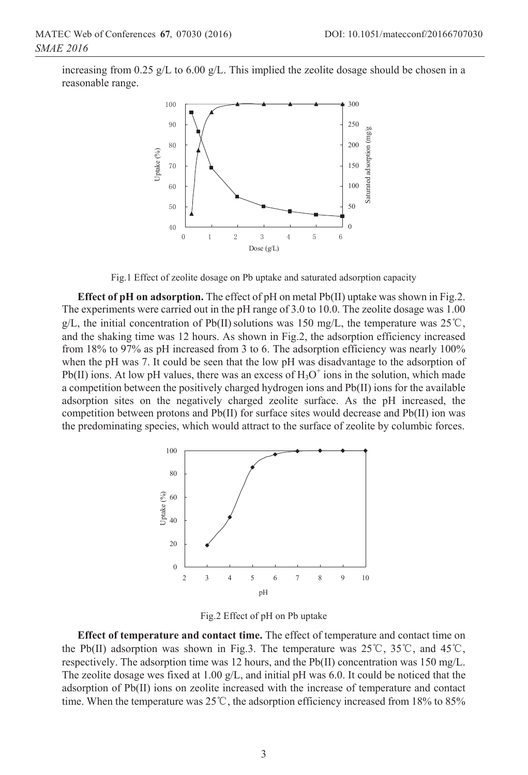increasing from 0.25 g/L to 6.00 g/L. This implied the zeolite dosage should be chosen in a reasonable range.



Fig.1 Effect of zeolite dosage on Pb uptake and saturated adsorption capacity

**Effect of pH on adsorption.** The effect of pH on metal Pb(II) uptake was shown in Fig.2. The experiments were carried out in the pH range of 3.0 to 10.0. The zeolite dosage was 1.00 g/L, the initial concentration of Pb(II) solutions was 150 mg/L, the temperature was  $25^{\circ}$ C, and the shaking time was 12 hours. As shown in Fig.2, the adsorption efficiency increased from 18% to 97% as pH increased from 3 to 6. The adsorption efficiency was nearly 100% when the pH was 7. It could be seen that the low pH was disadvantage to the adsorption of Pb(II) ions. At low pH values, there was an excess of  $H_3O^+$  ions in the solution, which made a competition between the positively charged hydrogen ions and Pb(II) ions for the available adsorption sites on the negatively charged zeolite surface. As the pH increased, the competition between protons and Pb(II) for surface sites would decrease and Pb(II) ion was the predominating species, which would attract to the surface of zeolite by columbic forces.



Fig.2 Effect of pH on Pb uptake

**Effect of temperature and contact time.** The effect of temperature and contact time on the Pb(II) adsorption was shown in Fig.3. The temperature was  $25^{\circ}$ C,  $35^{\circ}$ C, and  $45^{\circ}$ C, respectively. The adsorption time was 12 hours, and the Pb(II) concentration was 150 mg/L. The zeolite dosage wes fixed at  $1.00 \text{ g/L}$ , and initial pH was 6.0. It could be noticed that the adsorption of Pb(II) ions on zeolite increased with the increase of temperature and contact time. When the temperature was  $25^{\circ}$ C, the adsorption efficiency increased from 18% to 85%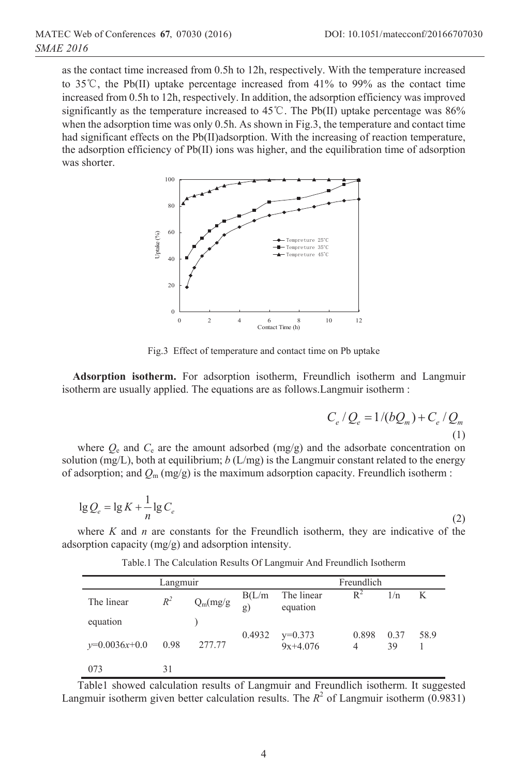as the contact time increased from 0.5h to 12h, respectively. With the temperature increased to 35<sup> $\degree$ </sup>C, the Pb(II) uptake percentage increased from 41% to 99% as the contact time increased from 0.5h to 12h, respectively. In addition, the adsorption efficiency was improved significantly as the temperature increased to  $45^{\circ}$ . The Pb(II) uptake percentage was 86% when the adsorption time was only 0.5h. As shown in Fig.3, the temperature and contact time had significant effects on the Pb(II)adsorption. With the increasing of reaction temperature, the adsorption efficiency of Pb(II) ions was higher, and the equilibration time of adsorption was shorter.



Fig.3 Effect of temperature and contact time on Pb uptake

**Adsorption isotherm.** For adsorption isotherm, Freundlich isotherm and Langmuir isotherm are usually applied. The equations are as follows.Langmuir isotherm :

$$
C_e / Q_e = 1/(bQ_m) + C_e / Q_m
$$
\n(1)

where  $Q_e$  and  $C_e$  are the amount adsorbed (mg/g) and the adsorbate concentration on solution (mg/L), both at equilibrium; *b* (L/mg) is the Langmuir constant related to the energy of adsorption; and  $Q_m$  (mg/g) is the maximum adsorption capacity. Freundlich isotherm :

$$
\lg Q_e = \lg K + \frac{1}{n} \lg C_e \tag{2}
$$

where  $K$  and  $n$  are constants for the Freundlich isotherm, they are indicative of the adsorption capacity (mg/g) and adsorption intensity.

| Langmuir        |       |             |              | Freundlich              |            |            |      |
|-----------------|-------|-------------|--------------|-------------------------|------------|------------|------|
| The linear      | $R^2$ | $Q_m(mg/g)$ | B(L/m)<br>g' | The linear<br>equation  | $R^2$      | 1/n        | K    |
| equation        |       |             |              |                         |            |            |      |
| $y=0.0036x+0.0$ | 0.98  | 277.77      | 0.4932       | $y=0.373$<br>$9x+4.076$ | 0.898<br>4 | 0.37<br>39 | 58.9 |
| 073             | 31    |             |              |                         |            |            |      |

Table.1 The Calculation Results Of Langmuir And Freundlich Isotherm

Table1 showed calculation results of Langmuir and Freundlich isotherm. It suggested Langmuir isotherm given better calculation results. The  $R^2$  of Langmuir isotherm (0.9831)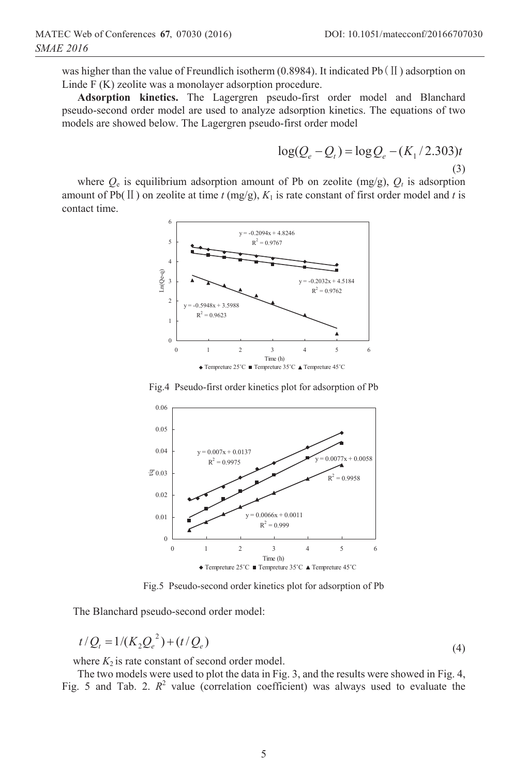was higher than the value of Freundlich isotherm (0.8984). It indicated Pb  $(II)$  adsorption on Linde F (K) zeolite was a monolayer adsorption procedure.

**Adsorption kinetics.** The Lagergren pseudo-first order model and Blanchard pseudo-second order model are used to analyze adsorption kinetics. The equations of two models are showed below. The Lagergren pseudo-first order model

$$
\log(Q_e - Q_t) = \log Q_e - (K_1 / 2.303)t
$$
\n(3)

where  $Q_e$  is equilibrium adsorption amount of Pb on zeolite (mg/g),  $Q_t$  is adsorption amount of Pb( $\Pi$ ) on zeolite at time *t* (mg/g),  $K_1$  is rate constant of first order model and *t* is contact time.



Fig.4 Pseudo-first order kinetics plot for adsorption of Pb



Fig.5 Pseudo-second order kinetics plot for adsorption of Pb

The Blanchard pseudo-second order model:

$$
t/Q_t = 1/(K_2 Q_e^2) + (t/Q_e)
$$
\n(4)

where  $K_2$  is rate constant of second order model.

The two models were used to plot the data in Fig. 3, and the results were showed in Fig. 4, Fig. 5 and Tab. 2.  $R^2$  value (correlation coefficient) was always used to evaluate the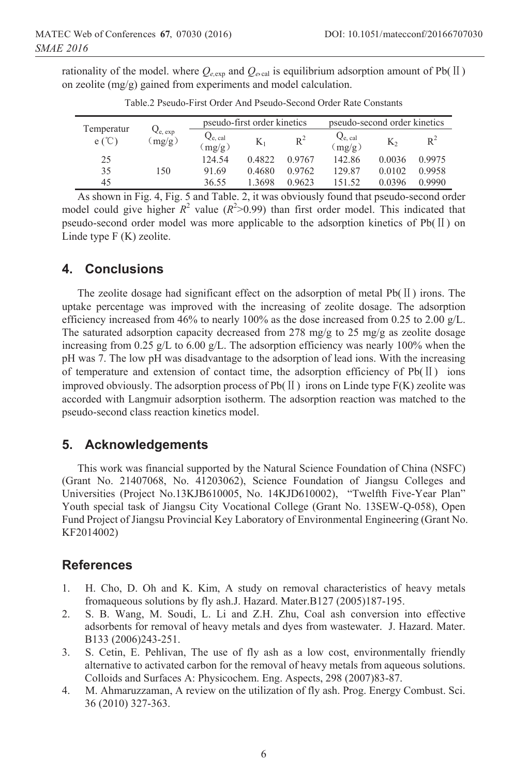rationality of the model. where  $Q_{e,exp}$  and  $Q_{e,cal}$  is equilibrium adsorption amount of Pb(II) on zeolite (mg/g) gained from experiments and model calculation.

| Temperatur<br>$e (^{\circ}C)$ | $Q_{e, exp}$<br>(mg/g) | pseudo-first order kinetics |           |        | pseudo-second order kinetics |        |        |
|-------------------------------|------------------------|-----------------------------|-----------|--------|------------------------------|--------|--------|
|                               |                        | $Q_{e.}$ cal<br>(mg/g)      | $\rm K_1$ | $R^2$  | $Q_{e, cal}$<br>(mg/g)       | K,     | $R^2$  |
| 25                            |                        | 124.54                      | 0.4822    | 0.9767 | 142.86                       | 0.0036 | 0.9975 |
| 35                            | 150                    | 91.69                       | 0.4680    | 0.9762 | 129.87                       | 0.0102 | 0.9958 |
| 45                            |                        | 36.55                       | 1.3698    | 0.9623 | 151.52                       | 0.0396 | 0.9990 |

Table.2 Pseudo-First Order And Pseudo-Second Order Rate Constants

As shown in Fig. 4, Fig. 5 and Table. 2, it was obviously found that pseudo-second order model could give higher  $R^2$  value ( $R^2$ >0.99) than first order model. This indicated that pseudo-second order model was more applicable to the adsorption kinetics of Pb( $\text{II}$ ) on Linde type F (K) zeolite.

### **4. Conclusions**

The zeolite dosage had significant effect on the adsorption of metal  $Pb(II)$  irons. The uptake percentage was improved with the increasing of zeolite dosage. The adsorption efficiency increased from 46% to nearly 100% as the dose increased from 0.25 to 2.00  $g/L$ . The saturated adsorption capacity decreased from 278 mg/g to 25 mg/g as zeolite dosage increasing from 0.25 g/L to 6.00 g/L. The adsorption efficiency was nearly 100% when the pH was 7. The low pH was disadvantage to the adsorption of lead ions. With the increasing of temperature and extension of contact time, the adsorption efficiency of  $Pb(II)$  ions improved obviously. The adsorption process of Pb( $\text{II}$ ) irons on Linde type F(K) zeolite was accorded with Langmuir adsorption isotherm. The adsorption reaction was matched to the pseudo-second class reaction kinetics model.

### **5. Acknowledgements**

This work was financial supported by the Natural Science Foundation of China (NSFC) (Grant No. 21407068, No. 41203062), Science Foundation of Jiangsu Colleges and Universities (Project No.13KJB610005, No. 14KJD610002), "Twelfth Five-Year Plan" Youth special task of Jiangsu City Vocational College (Grant No. 13SEW-Q-058), Open Fund Project of Jiangsu Provincial Key Laboratory of Environmental Engineering (Grant No. KF2014002)

### **References**

- 1. H. Cho, D. Oh and K. Kim, A study on removal characteristics of heavy metals fromaqueous solutions by fly ash.J. Hazard. Mater.B127 (2005)187-195.
- 2. S. B. Wang, M. Soudi, L. Li and Z.H. Zhu, Coal ash conversion into effective adsorbents for removal of heavy metals and dyes from wastewater. J. Hazard. Mater. B133 (2006)243-251.
- 3. S. Cetin, E. Pehlivan, The use of fly ash as a low cost, environmentally friendly alternative to activated carbon for the removal of heavy metals from aqueous solutions. Colloids and Surfaces A: Physicochem. Eng. Aspects, 298 (2007)83-87.
- 4. M. Ahmaruzzaman, A review on the utilization of fly ash. Prog. Energy Combust. Sci. 36 (2010) 327-363.